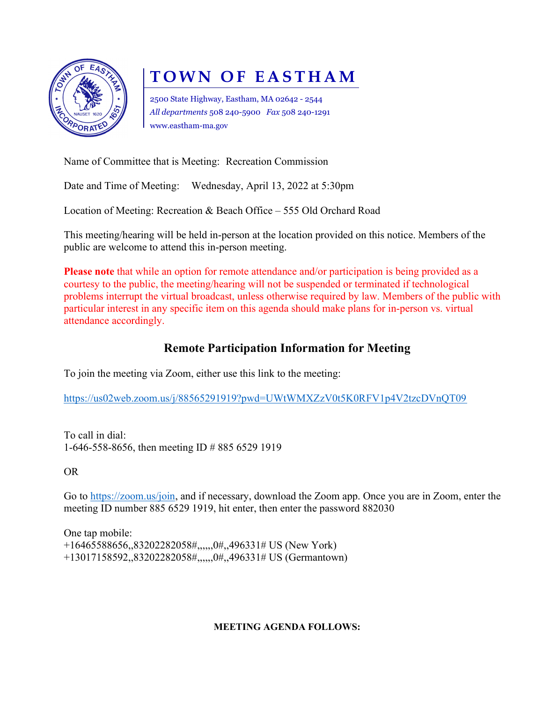

# TOWN OF EASTHAM

2500 State Highway, Eastham, MA 02642 - 2544 All departments 508 240-5900 Fax 508 240-1291 www.eastham-ma.gov

Name of Committee that is Meeting: Recreation Commission

Date and Time of Meeting: Wednesday, April 13, 2022 at 5:30pm

Location of Meeting: Recreation & Beach Office – 555 Old Orchard Road

This meeting/hearing will be held in-person at the location provided on this notice. Members of the public are welcome to attend this in-person meeting.

Please note that while an option for remote attendance and/or participation is being provided as a courtesy to the public, the meeting/hearing will not be suspended or terminated if technological problems interrupt the virtual broadcast, unless otherwise required by law. Members of the public with particular interest in any specific item on this agenda should make plans for in-person vs. virtual attendance accordingly.

### Remote Participation Information for Meeting

To join the meeting via Zoom, either use this link to the meeting:

https://us02web.zoom.us/j/88565291919?pwd=UWtWMXZzV0t5K0RFV1p4V2tzcDVnQT09

To call in dial: 1-646-558-8656, then meeting ID # 885 6529 1919

OR

Go to https://zoom.us/join, and if necessary, download the Zoom app. Once you are in Zoom, enter the meeting ID number 885 6529 1919, hit enter, then enter the password 882030

One tap mobile: +16465588656,,83202282058#,,,,,,0#,,496331# US (New York) +13017158592,,83202282058#,,,,,,0#,,496331# US (Germantown)

#### MEETING AGENDA FOLLOWS: